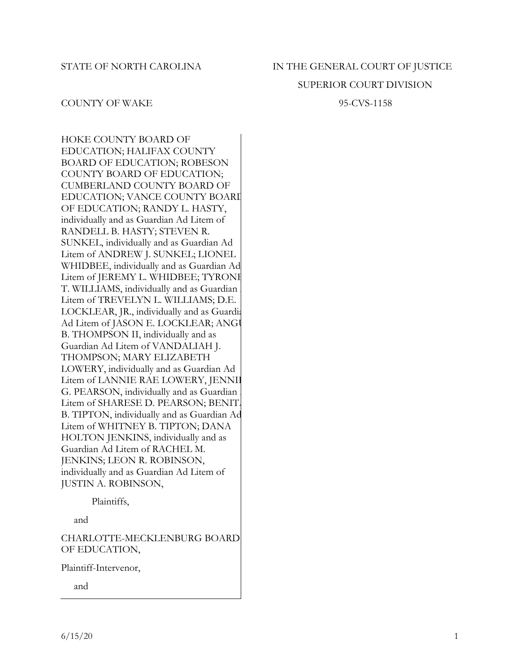# STATE OF NORTH CAROLINA IN THE GENERAL COURT OF JUSTICE

## SUPERIOR COURT DIVISION

## COUNTY OF WAKE 95-CVS-1158

HOKE COUNTY BOARD OF EDUCATION; HALIFAX COUNTY BOARD OF EDUCATION; ROBESON COUNTY BOARD OF EDUCATION; CUMBERLAND COUNTY BOARD OF EDUCATION; VANCE COUNTY BOARI OF EDUCATION; RANDY L. HASTY, individually and as Guardian Ad Litem of RANDELL B. HASTY; STEVEN R. SUNKEL, individually and as Guardian Ad Litem of ANDREW J. SUNKEL; LIONEL WHIDBEE, individually and as Guardian Ad Litem of JEREMY L. WHIDBEE; TYRONE T. WILLIAMS, individually and as Guardian Litem of TREVELYN L. WILLIAMS; D.E. LOCKLEAR, JR., individually and as Guardia Ad Litem of JASON E. LOCKLEAR; ANGU B. THOMPSON II, individually and as Guardian Ad Litem of VANDALIAH J. THOMPSON; MARY ELIZABETH LOWERY, individually and as Guardian Ad Litem of LANNIE RAE LOWERY, JENNIE G. PEARSON, individually and as Guardian Litem of SHARESE D. PEARSON; BENIT. B. TIPTON, individually and as Guardian Ad Litem of WHITNEY B. TIPTON; DANA HOLTON JENKINS, individually and as Guardian Ad Litem of RACHEL M. JENKINS; LEON R. ROBINSON, individually and as Guardian Ad Litem of JUSTIN A. ROBINSON,

Plaintiffs,

and

CHARLOTTE-MECKLENBURG BOARD OF EDUCATION,

Plaintiff-Intervenor,

and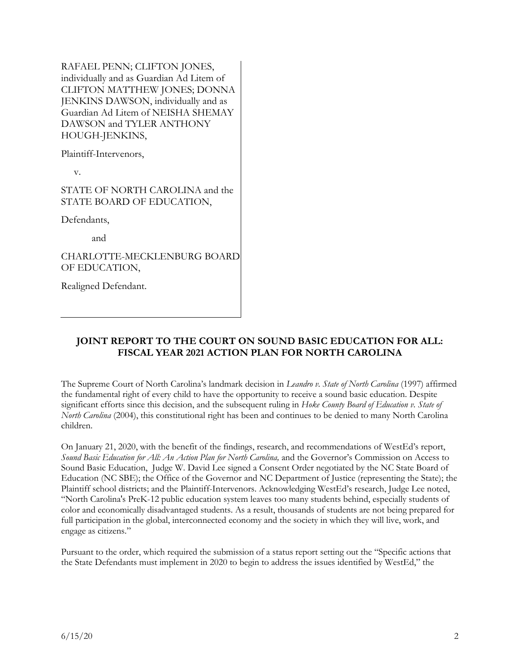RAFAEL PENN; CLIFTON JONES, individually and as Guardian Ad Litem of CLIFTON MATTHEW JONES; DONNA JENKINS DAWSON, individually and as Guardian Ad Litem of NEISHA SHEMAY DAWSON and TYLER ANTHONY HOUGH-JENKINS,

Plaintiff-Intervenors,

v.

STATE OF NORTH CAROLINA and the STATE BOARD OF EDUCATION,

Defendants,

and

CHARLOTTE-MECKLENBURG BOARD OF EDUCATION,

Realigned Defendant.

# **JOINT REPORT TO THE COURT ON SOUND BASIC EDUCATION FOR ALL: FISCAL YEAR 2021 ACTION PLAN FOR NORTH CAROLINA**

The Supreme Court of North Carolina's landmark decision in *Leandro v. State of North Carolina* (1997) affirmed the fundamental right of every child to have the opportunity to receive a sound basic education. Despite significant efforts since this decision, and the subsequent ruling in *Hoke County Board of Education v. State of North Carolina* (2004), this constitutional right has been and continues to be denied to many North Carolina children.

On January 21, 2020, with the benefit of the findings, research, and recommendations of WestEd's report, *Sound Basic Education for All: An Action Plan for North Carolina,* and the Governor's Commission on Access to Sound Basic Education, Judge W. David Lee signed a Consent Order negotiated by the NC State Board of Education (NC SBE); the Office of the Governor and NC Department of Justice (representing the State); the Plaintiff school districts; and the Plaintiff-Intervenors. Acknowledging WestEd's research, Judge Lee noted, "North Carolina's PreK-12 public education system leaves too many students behind, especially students of color and economically disadvantaged students. As a result, thousands of students are not being prepared for full participation in the global, interconnected economy and the society in which they will live, work, and engage as citizens."

Pursuant to the order, which required the submission of a status report setting out the "Specific actions that the State Defendants must implement in 2020 to begin to address the issues identified by WestEd," the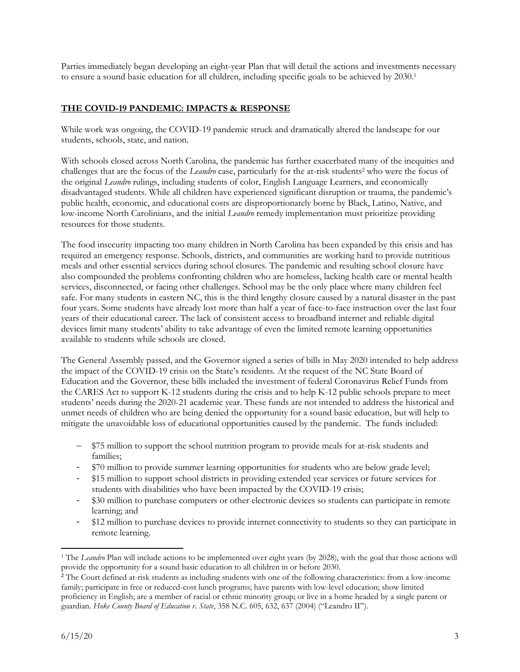Parties immediately began developing an eight-year Plan that will detail the actions and investments necessary to ensure a sound basic education for all children, including specific goals to be achieved by 2030.<sup>1</sup>

## **THE COVID-19 PANDEMIC: IMPACTS & RESPONSE**

While work was ongoing, the COVID-19 pandemic struck and dramatically altered the landscape for our students, schools, state, and nation.

With schools closed across North Carolina, the pandemic has further exacerbated many of the inequities and challenges that are the focus of the *Leandro* case, particularly for the at-risk students<sup>2</sup> who were the focus of the original *Leandro* rulings, including students of color, English Language Learners, and economically disadvantaged students. While all children have experienced significant disruption or trauma, the pandemic's public health, economic, and educational costs are disproportionately borne by Black, Latino, Native, and low-income North Carolinians, and the initial *Leandro* remedy implementation must prioritize providing resources for those students.

The food insecurity impacting too many children in North Carolina has been expanded by this crisis and has required an emergency response. Schools, districts, and communities are working hard to provide nutritious meals and other essential services during school closures. The pandemic and resulting school closure have also compounded the problems confronting children who are homeless, lacking health care or mental health services, disconnected, or facing other challenges. School may be the only place where many children feel safe. For many students in eastern NC, this is the third lengthy closure caused by a natural disaster in the past four years. Some students have already lost more than half a year of face-to-face instruction over the last four years of their educational career. The lack of consistent access to broadband internet and reliable digital devices limit many students' ability to take advantage of even the limited remote learning opportunities available to students while schools are closed.

The General Assembly passed, and the Governor signed a series of bills in May 2020 intended to help address the impact of the COVID-19 crisis on the State's residents. At the request of the NC State Board of Education and the Governor, these bills included the investment of federal Coronavirus Relief Funds from the CARES Act to support K-12 students during the crisis and to help K-12 public schools prepare to meet students' needs during the 2020-21 academic year. These funds are not intended to address the historical and unmet needs of children who are being denied the opportunity for a sound basic education, but will help to mitigate the unavoidable loss of educational opportunities caused by the pandemic. The funds included:

- $-$  \$75 million to support the school nutrition program to provide meals for at-risk students and families;
- \$70 million to provide summer learning opportunities for students who are below grade level;
- \$15 million to support school districts in providing extended year services or future services for students with disabilities who have been impacted by the COVID-19 crisis;
- \$30 million to purchase computers or other electronic devices so students can participate in remote learning; and
- \$12 million to purchase devices to provide internet connectivity to students so they can participate in remote learning.

 $\overline{\phantom{a}}$ <sup>1</sup> The *Leandro* Plan will include actions to be implemented over eight years (by 2028), with the goal that those actions will provide the opportunity for a sound basic education to all children in or before 2030.

<sup>&</sup>lt;sup>2</sup> The Court defined at-risk students as including students with one of the following characteristics: from a low-income family; participate in free or reduced-cost lunch programs; have parents with low-level education; show limited proficiency in English; are a member of racial or ethnic minority group; or live in a home headed by a single parent or guardian. *Hoke County Board of Education v. State*, 358 N.C. 605, 632, 637 (2004) ("Leandro II").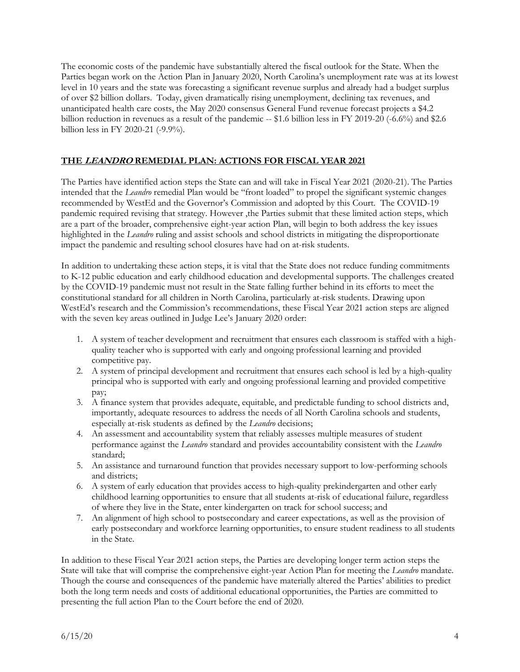The economic costs of the pandemic have substantially altered the fiscal outlook for the State. When the Parties began work on the Action Plan in January 2020, North Carolina's unemployment rate was at its lowest level in 10 years and the state was forecasting a significant revenue surplus and already had a budget surplus of over \$2 billion dollars. Today, given dramatically rising unemployment, declining tax revenues, and unanticipated health care costs, the May 2020 consensus General Fund revenue forecast projects a \$4.2 billion reduction in revenues as a result of the pandemic -- \$1.6 billion less in FY 2019-20 (-6.6%) and \$2.6 billion less in FY 2020-21 (-9.9%).

## **THE LEANDRO REMEDIAL PLAN: ACTIONS FOR FISCAL YEAR 2021**

The Parties have identified action steps the State can and will take in Fiscal Year 2021 (2020-21). The Parties intended that the *Leandro* remedial Plan would be "front loaded" to propel the significant systemic changes recommended by WestEd and the Governor's Commission and adopted by this Court. The COVID-19 pandemic required revising that strategy. However ,the Parties submit that these limited action steps, which are a part of the broader, comprehensive eight-year action Plan, will begin to both address the key issues highlighted in the *Leandro* ruling and assist schools and school districts in mitigating the disproportionate impact the pandemic and resulting school closures have had on at-risk students.

In addition to undertaking these action steps, it is vital that the State does not reduce funding commitments to K-12 public education and early childhood education and developmental supports. The challenges created by the COVID-19 pandemic must not result in the State falling further behind in its efforts to meet the constitutional standard for all children in North Carolina, particularly at-risk students. Drawing upon WestEd's research and the Commission's recommendations, these Fiscal Year 2021 action steps are aligned with the seven key areas outlined in Judge Lee's January 2020 order:

- 1. A system of teacher development and recruitment that ensures each classroom is staffed with a highquality teacher who is supported with early and ongoing professional learning and provided competitive pay.
- 2. A system of principal development and recruitment that ensures each school is led by a high-quality principal who is supported with early and ongoing professional learning and provided competitive pay;
- 3. A finance system that provides adequate, equitable, and predictable funding to school districts and, importantly, adequate resources to address the needs of all North Carolina schools and students, especially at-risk students as defined by the *Leandro* decisions;
- 4. An assessment and accountability system that reliably assesses multiple measures of student performance against the *Leandro* standard and provides accountability consistent with the *Leandro* standard;
- 5. An assistance and turnaround function that provides necessary support to low-performing schools and districts;
- 6. A system of early education that provides access to high-quality prekindergarten and other early childhood learning opportunities to ensure that all students at-risk of educational failure, regardless of where they live in the State, enter kindergarten on track for school success; and
- 7. An alignment of high school to postsecondary and career expectations, as well as the provision of early postsecondary and workforce learning opportunities, to ensure student readiness to all students in the State.

In addition to these Fiscal Year 2021 action steps, the Parties are developing longer term action steps the State will take that will comprise the comprehensive eight-year Action Plan for meeting the *Leandro* mandate. Though the course and consequences of the pandemic have materially altered the Parties' abilities to predict both the long term needs and costs of additional educational opportunities, the Parties are committed to presenting the full action Plan to the Court before the end of 2020.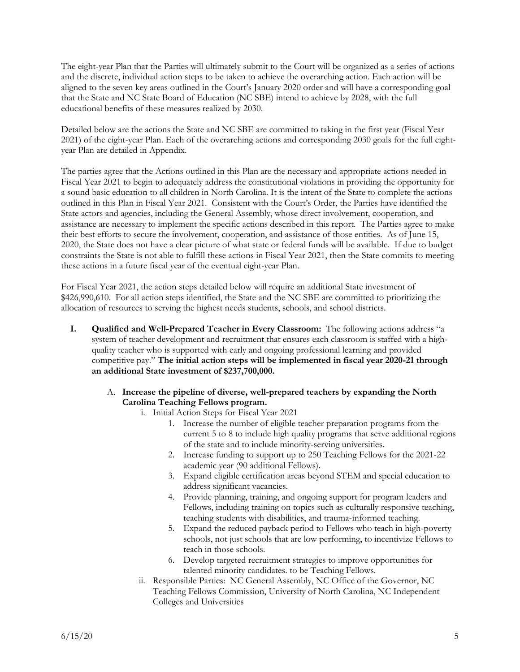The eight-year Plan that the Parties will ultimately submit to the Court will be organized as a series of actions and the discrete, individual action steps to be taken to achieve the overarching action. Each action will be aligned to the seven key areas outlined in the Court's January 2020 order and will have a corresponding goal that the State and NC State Board of Education (NC SBE) intend to achieve by 2028, with the full educational benefits of these measures realized by 2030.

Detailed below are the actions the State and NC SBE are committed to taking in the first year (Fiscal Year 2021) of the eight-year Plan. Each of the overarching actions and corresponding 2030 goals for the full eightyear Plan are detailed in Appendix.

The parties agree that the Actions outlined in this Plan are the necessary and appropriate actions needed in Fiscal Year 2021 to begin to adequately address the constitutional violations in providing the opportunity for a sound basic education to all children in North Carolina. It is the intent of the State to complete the actions outlined in this Plan in Fiscal Year 2021. Consistent with the Court's Order, the Parties have identified the State actors and agencies, including the General Assembly, whose direct involvement, cooperation, and assistance are necessary to implement the specific actions described in this report. The Parties agree to make their best efforts to secure the involvement, cooperation, and assistance of those entities. As of June 15, 2020, the State does not have a clear picture of what state or federal funds will be available. If due to budget constraints the State is not able to fulfill these actions in Fiscal Year 2021, then the State commits to meeting these actions in a future fiscal year of the eventual eight-year Plan.

For Fiscal Year 2021, the action steps detailed below will require an additional State investment of \$426,990,610. For all action steps identified, the State and the NC SBE are committed to prioritizing the allocation of resources to serving the highest needs students, schools, and school districts.

- **I. Qualified and Well-Prepared Teacher in Every Classroom:** The following actions address "a system of teacher development and recruitment that ensures each classroom is staffed with a highquality teacher who is supported with early and ongoing professional learning and provided competitive pay." **The initial action steps will be implemented in fiscal year 2020-21 through an additional State investment of \$237,700,000.**
	- A. **Increase the pipeline of diverse, well-prepared teachers by expanding the North Carolina Teaching Fellows program.** 
		- i. Initial Action Steps for Fiscal Year 2021
			- 1. Increase the number of eligible teacher preparation programs from the current 5 to 8 to include high quality programs that serve additional regions of the state and to include minority-serving universities.
			- 2. Increase funding to support up to 250 Teaching Fellows for the 2021-22 academic year (90 additional Fellows).
			- 3. Expand eligible certification areas beyond STEM and special education to address significant vacancies.
			- 4. Provide planning, training, and ongoing support for program leaders and Fellows, including training on topics such as culturally responsive teaching, teaching students with disabilities, and trauma-informed teaching.
			- 5. Expand the reduced payback period to Fellows who teach in high-poverty schools, not just schools that are low performing, to incentivize Fellows to teach in those schools.
			- 6. Develop targeted recruitment strategies to improve opportunities for talented minority candidates. to be Teaching Fellows.
		- ii. Responsible Parties: NC General Assembly, NC Office of the Governor, NC Teaching Fellows Commission, University of North Carolina, NC Independent Colleges and Universities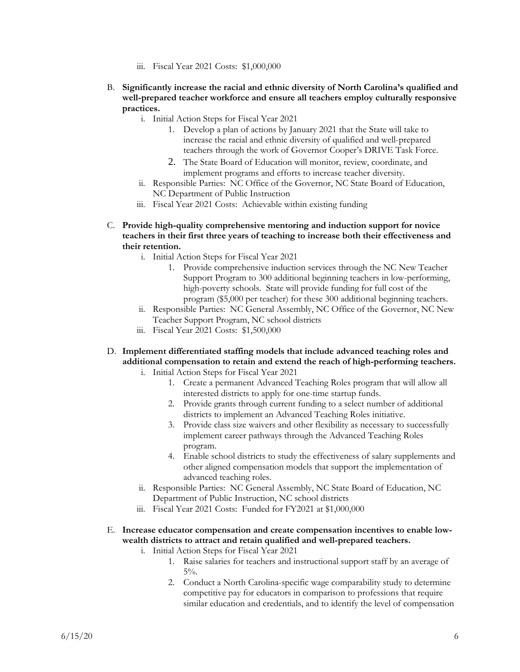- iii. Fiscal Year 2021 Costs: \$1,000,000
- B. **Significantly increase the racial and ethnic diversity of North Carolina's qualified and well-prepared teacher workforce and ensure all teachers employ culturally responsive practices.**
	- i. Initial Action Steps for Fiscal Year 2021
		- 1. Develop a plan of actions by January 2021 that the State will take to increase the racial and ethnic diversity of qualified and well-prepared teachers through the work of Governor Cooper's DRIVE Task Force.
		- 2. The State Board of Education will monitor, review, coordinate, and implement programs and efforts to increase teacher diversity.
	- ii. Responsible Parties: NC Office of the Governor, NC State Board of Education, NC Department of Public Instruction
	- iii. Fiscal Year 2021 Costs: Achievable within existing funding
- C. **Provide high-quality comprehensive mentoring and induction support for novice teachers in their first three years of teaching to increase both their effectiveness and their retention.**
	- i. Initial Action Steps for Fiscal Year 2021
		- 1. Provide comprehensive induction services through the NC New Teacher Support Program to 300 additional beginning teachers in low-performing, high-poverty schools. State will provide funding for full cost of the program (\$5,000 per teacher) for these 300 additional beginning teachers.
	- ii. Responsible Parties: NC General Assembly, NC Office of the Governor, NC New Teacher Support Program, NC school districts
	- iii. Fiscal Year 2021 Costs: \$1,500,000
- D. **Implement differentiated staffing models that include advanced teaching roles and additional compensation to retain and extend the reach of high-performing teachers.**
	- i. Initial Action Steps for Fiscal Year 2021
		- 1. Create a permanent Advanced Teaching Roles program that will allow all interested districts to apply for one-time startup funds.
		- 2. Provide grants through current funding to a select number of additional districts to implement an Advanced Teaching Roles initiative.
		- 3. Provide class size waivers and other flexibility as necessary to successfully implement career pathways through the Advanced Teaching Roles program.
		- 4. Enable school districts to study the effectiveness of salary supplements and other aligned compensation models that support the implementation of advanced teaching roles.
	- ii. Responsible Parties: NC General Assembly, NC State Board of Education, NC Department of Public Instruction, NC school districts
	- iii. Fiscal Year 2021 Costs: Funded for FY2021 at \$1,000,000
- E. **Increase educator compensation and create compensation incentives to enable lowwealth districts to attract and retain qualified and well-prepared teachers.**
	- i. Initial Action Steps for Fiscal Year 2021
		- 1. Raise salaries for teachers and instructional support staff by an average of  $5\%$ .
		- 2. Conduct a North Carolina-specific wage comparability study to determine competitive pay for educators in comparison to professions that require similar education and credentials, and to identify the level of compensation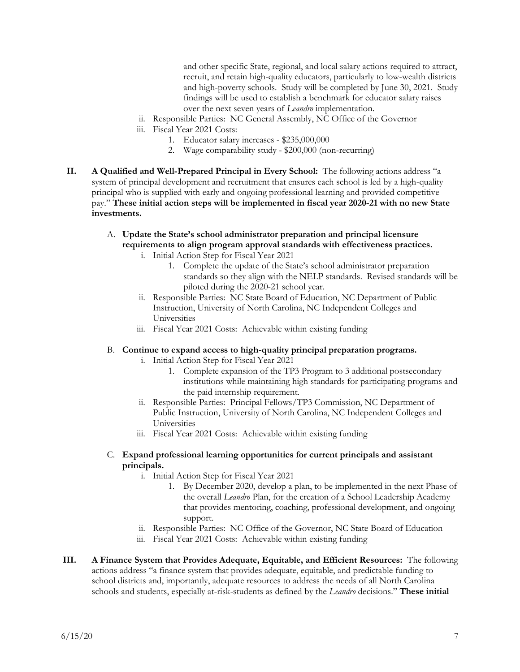and other specific State, regional, and local salary actions required to attract, recruit, and retain high-quality educators, particularly to low-wealth districts and high-poverty schools. Study will be completed by June 30, 2021. Study findings will be used to establish a benchmark for educator salary raises over the next seven years of *Leandro* implementation.

- ii. Responsible Parties: NC General Assembly, NC Office of the Governor
- iii. Fiscal Year 2021 Costs:
	- 1. Educator salary increases \$235,000,000
	- 2. Wage comparability study \$200,000 (non-recurring)
- **II. A Qualified and Well-Prepared Principal in Every School:** The following actions address "a system of principal development and recruitment that ensures each school is led by a high-quality principal who is supplied with early and ongoing professional learning and provided competitive pay." **These initial action steps will be implemented in fiscal year 2020-21 with no new State investments.**
	- A. **Update the State's school administrator preparation and principal licensure requirements to align program approval standards with effectiveness practices.**
		- i. Initial Action Step for Fiscal Year 2021
			- 1. Complete the update of the State's school administrator preparation standards so they align with the NELP standards. Revised standards will be piloted during the 2020-21 school year.
		- ii. Responsible Parties: NC State Board of Education, NC Department of Public Instruction, University of North Carolina, NC Independent Colleges and Universities
		- iii. Fiscal Year 2021 Costs: Achievable within existing funding

#### B. **Continue to expand access to high-quality principal preparation programs.**

- i. Initial Action Step for Fiscal Year 2021
	- 1. Complete expansion of the TP3 Program to 3 additional postsecondary institutions while maintaining high standards for participating programs and the paid internship requirement.
- ii. Responsible Parties: Principal Fellows/TP3 Commission, NC Department of Public Instruction, University of North Carolina, NC Independent Colleges and Universities
- iii. Fiscal Year 2021 Costs: Achievable within existing funding
- C. **Expand professional learning opportunities for current principals and assistant principals.**
	- i. Initial Action Step for Fiscal Year 2021
		- 1. By December 2020, develop a plan, to be implemented in the next Phase of the overall *Leandro* Plan, for the creation of a School Leadership Academy that provides mentoring, coaching, professional development, and ongoing support.
	- ii. Responsible Parties: NC Office of the Governor, NC State Board of Education
	- iii. Fiscal Year 2021 Costs: Achievable within existing funding
- **III. A Finance System that Provides Adequate, Equitable, and Efficient Resources:** The following actions address "a finance system that provides adequate, equitable, and predictable funding to school districts and, importantly, adequate resources to address the needs of all North Carolina schools and students, especially at-risk-students as defined by the *Leandro* decisions." **These initial**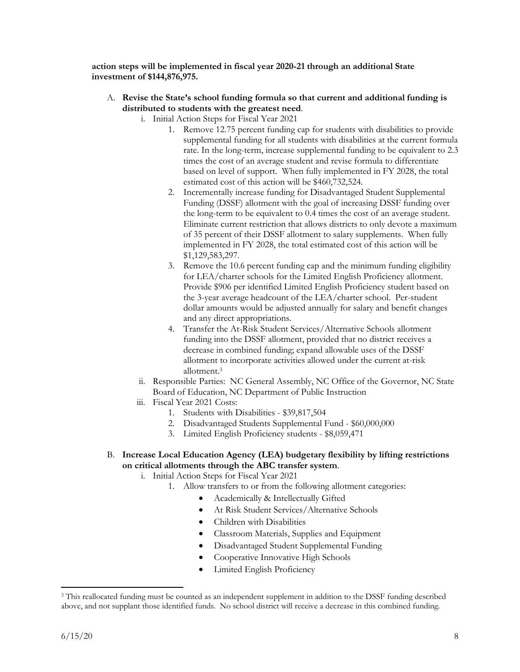**action steps will be implemented in fiscal year 2020-21 through an additional State investment of \$144,876,975.**

- A. **Revise the State's school funding formula so that current and additional funding is distributed to students with the greatest need**.
	- i. Initial Action Steps for Fiscal Year 2021
		- 1. Remove 12.75 percent funding cap for students with disabilities to provide supplemental funding for all students with disabilities at the current formula rate. In the long-term, increase supplemental funding to be equivalent to 2.3 times the cost of an average student and revise formula to differentiate based on level of support. When fully implemented in FY 2028, the total estimated cost of this action will be \$460,732,524.
		- 2. Incrementally increase funding for Disadvantaged Student Supplemental Funding (DSSF) allotment with the goal of increasing DSSF funding over the long-term to be equivalent to 0.4 times the cost of an average student. Eliminate current restriction that allows districts to only devote a maximum of 35 percent of their DSSF allotment to salary supplements. When fully implemented in FY 2028, the total estimated cost of this action will be \$1,129,583,297.
		- 3. Remove the 10.6 percent funding cap and the minimum funding eligibility for LEA/charter schools for the Limited English Proficiency allotment. Provide \$906 per identified Limited English Proficiency student based on the 3-year average headcount of the LEA/charter school. Per-student dollar amounts would be adjusted annually for salary and benefit changes and any direct appropriations.
		- 4. Transfer the At-Risk Student Services/Alternative Schools allotment funding into the DSSF allotment, provided that no district receives a decrease in combined funding; expand allowable uses of the DSSF allotment to incorporate activities allowed under the current at-risk allotment.<sup>3</sup>
	- ii. Responsible Parties: NC General Assembly, NC Office of the Governor, NC State Board of Education, NC Department of Public Instruction
	- iii. Fiscal Year 2021 Costs:
		- 1. Students with Disabilities \$39,817,504
		- 2. Disadvantaged Students Supplemental Fund \$60,000,000
		- 3. Limited English Proficiency students \$8,059,471
- B. **Increase Local Education Agency (LEA) budgetary flexibility by lifting restrictions on critical allotments through the ABC transfer system**.
	- i. Initial Action Steps for Fiscal Year 2021
		- 1. Allow transfers to or from the following allotment categories:
			- Academically & Intellectually Gifted
			- At Risk Student Services/Alternative Schools
			- Children with Disabilities
			- Classroom Materials, Supplies and Equipment
			- Disadvantaged Student Supplemental Funding
			- Cooperative Innovative High Schools
			- Limited English Proficiency

 $\overline{\phantom{a}}$ 

<sup>&</sup>lt;sup>3</sup> This reallocated funding must be counted as an independent supplement in addition to the DSSF funding described above, and not supplant those identified funds. No school district will receive a decrease in this combined funding.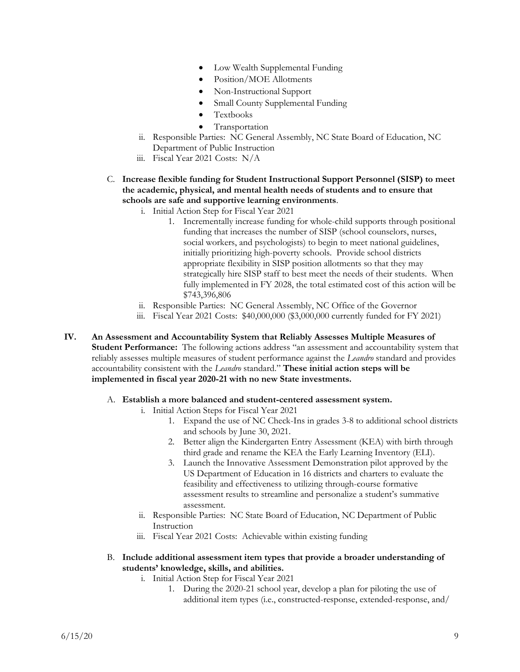- Low Wealth Supplemental Funding
- Position/MOE Allotments
- Non-Instructional Support
- Small County Supplemental Funding
- Textbooks
- Transportation
- ii. Responsible Parties: NC General Assembly, NC State Board of Education, NC Department of Public Instruction
- iii. Fiscal Year 2021 Costs: N/A
- C. **Increase flexible funding for Student Instructional Support Personnel (SISP) to meet the academic, physical, and mental health needs of students and to ensure that schools are safe and supportive learning environments**.
	- i. Initial Action Step for Fiscal Year 2021
		- 1. Incrementally increase funding for whole-child supports through positional funding that increases the number of SISP (school counselors, nurses, social workers, and psychologists) to begin to meet national guidelines, initially prioritizing high-poverty schools. Provide school districts appropriate flexibility in SISP position allotments so that they may strategically hire SISP staff to best meet the needs of their students. When fully implemented in FY 2028, the total estimated cost of this action will be \$743,396,806
	- ii. Responsible Parties: NC General Assembly, NC Office of the Governor
	- iii. Fiscal Year 2021 Costs: \$40,000,000 (\$3,000,000 currently funded for FY 2021)
- **IV. An Assessment and Accountability System that Reliably Assesses Multiple Measures of Student Performance:** The following actions address "an assessment and accountability system that reliably assesses multiple measures of student performance against the *Leandro* standard and provides accountability consistent with the *Leandro* standard." **These initial action steps will be implemented in fiscal year 2020-21 with no new State investments.**
	- A. **Establish a more balanced and student-centered assessment system.**
		- i. Initial Action Steps for Fiscal Year 2021
			- 1. Expand the use of NC Check-Ins in grades 3-8 to additional school districts and schools by June 30, 2021.
			- 2. Better align the Kindergarten Entry Assessment (KEA) with birth through third grade and rename the KEA the Early Learning Inventory (ELI).
			- 3. Launch the Innovative Assessment Demonstration pilot approved by the US Department of Education in 16 districts and charters to evaluate the feasibility and effectiveness to utilizing through-course formative assessment results to streamline and personalize a student's summative assessment.
		- ii. Responsible Parties: NC State Board of Education, NC Department of Public Instruction
		- iii. Fiscal Year 2021 Costs: Achievable within existing funding
	- B. **Include additional assessment item types that provide a broader understanding of students' knowledge, skills, and abilities.**
		- i. Initial Action Step for Fiscal Year 2021
			- 1. During the 2020-21 school year, develop a plan for piloting the use of additional item types (i.e., constructed-response, extended-response, and/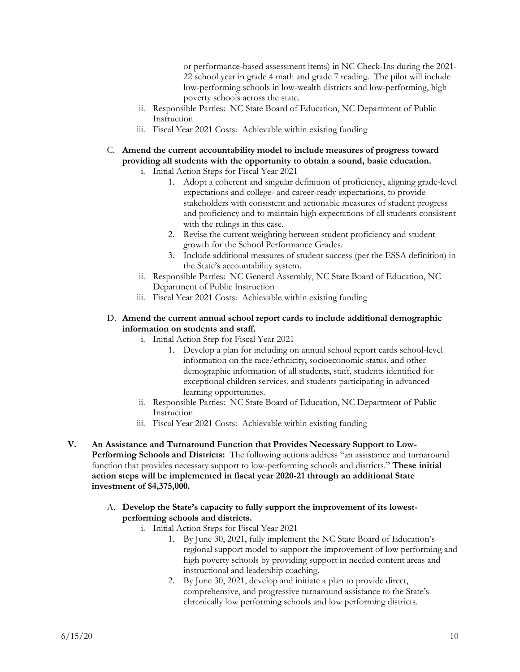or performance-based assessment items) in NC Check-Ins during the 2021- 22 school year in grade 4 math and grade 7 reading. The pilot will include low-performing schools in low-wealth districts and low-performing, high poverty schools across the state.

- ii. Responsible Parties: NC State Board of Education, NC Department of Public Instruction
- iii. Fiscal Year 2021 Costs: Achievable within existing funding
- C. **Amend the current accountability model to include measures of progress toward providing all students with the opportunity to obtain a sound, basic education.**
	- i. Initial Action Steps for Fiscal Year 2021
		- 1. Adopt a coherent and singular definition of proficiency, aligning grade-level expectations and college- and career-ready expectations, to provide stakeholders with consistent and actionable measures of student progress and proficiency and to maintain high expectations of all students consistent with the rulings in this case.
		- 2. Revise the current weighting between student proficiency and student growth for the School Performance Grades.
		- 3. Include additional measures of student success (per the ESSA definition) in the State's accountability system.
	- ii. Responsible Parties: NC General Assembly, NC State Board of Education, NC Department of Public Instruction
	- iii. Fiscal Year 2021 Costs: Achievable within existing funding

#### D. **Amend the current annual school report cards to include additional demographic information on students and staff.**

- i. Initial Action Step for Fiscal Year 2021
	- 1. Develop a plan for including on annual school report cards school-level information on the race/ethnicity, socioeconomic status, and other demographic information of all students, staff, students identified for exceptional children services, and students participating in advanced learning opportunities.
- ii. Responsible Parties: NC State Board of Education, NC Department of Public Instruction
- iii. Fiscal Year 2021 Costs: Achievable within existing funding
- **V. An Assistance and Turnaround Function that Provides Necessary Support to Low-Performing Schools and Districts:** The following actions address "an assistance and turnaround function that provides necessary support to low-performing schools and districts." **These initial action steps will be implemented in fiscal year 2020-21 through an additional State investment of \$4,375,000.**
	- A. **Develop the State's capacity to fully support the improvement of its lowestperforming schools and districts.**
		- i. Initial Action Steps for Fiscal Year 2021
			- 1. By June 30, 2021, fully implement the NC State Board of Education's regional support model to support the improvement of low performing and high poverty schools by providing support in needed content areas and instructional and leadership coaching.
			- 2. By June 30, 2021, develop and initiate a plan to provide direct, comprehensive, and progressive turnaround assistance to the State's chronically low performing schools and low performing districts.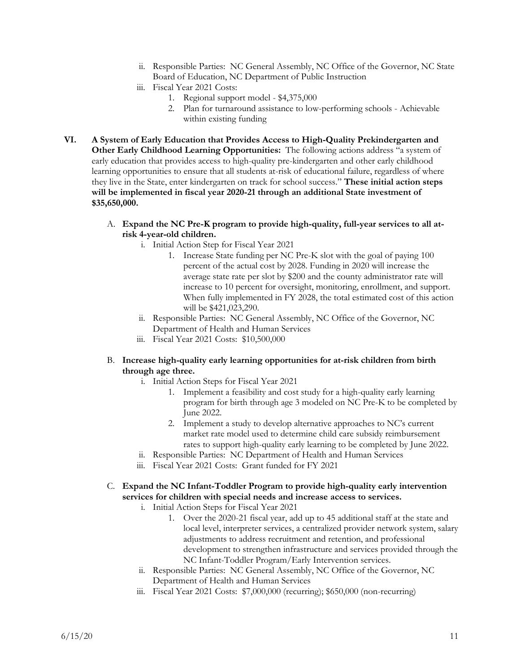- ii. Responsible Parties: NC General Assembly, NC Office of the Governor, NC State Board of Education, NC Department of Public Instruction
- iii. Fiscal Year 2021 Costs:
	- 1. Regional support model \$4,375,000
	- 2. Plan for turnaround assistance to low-performing schools Achievable within existing funding
- **VI. A System of Early Education that Provides Access to High-Quality Prekindergarten and Other Early Childhood Learning Opportunities:** The following actions address "a system of early education that provides access to high-quality pre-kindergarten and other early childhood learning opportunities to ensure that all students at-risk of educational failure, regardless of where they live in the State, enter kindergarten on track for school success." **These initial action steps will be implemented in fiscal year 2020-21 through an additional State investment of \$35,650,000.**
	- A. **Expand the NC Pre-K program to provide high-quality, full-year services to all atrisk 4-year-old children.**
		- i. Initial Action Step for Fiscal Year 2021
			- 1. Increase State funding per NC Pre-K slot with the goal of paying 100 percent of the actual cost by 2028. Funding in 2020 will increase the average state rate per slot by \$200 and the county administrator rate will increase to 10 percent for oversight, monitoring, enrollment, and support. When fully implemented in FY 2028, the total estimated cost of this action will be \$421,023,290.
		- ii. Responsible Parties: NC General Assembly, NC Office of the Governor, NC Department of Health and Human Services
		- iii. Fiscal Year 2021 Costs: \$10,500,000

### B. **Increase high-quality early learning opportunities for at-risk children from birth through age three.**

- i. Initial Action Steps for Fiscal Year 2021
	- 1. Implement a feasibility and cost study for a high-quality early learning program for birth through age 3 modeled on NC Pre-K to be completed by June 2022.
	- 2. Implement a study to develop alternative approaches to NC's current market rate model used to determine child care subsidy reimbursement rates to support high-quality early learning to be completed by June 2022.
- ii. Responsible Parties: NC Department of Health and Human Services
- iii. Fiscal Year 2021 Costs: Grant funded for FY 2021
- C. **Expand the NC Infant-Toddler Program to provide high-quality early intervention services for children with special needs and increase access to services.**
	- i. Initial Action Steps for Fiscal Year 2021
		- 1. Over the 2020-21 fiscal year, add up to 45 additional staff at the state and local level, interpreter services, a centralized provider network system, salary adjustments to address recruitment and retention, and professional development to strengthen infrastructure and services provided through the NC Infant-Toddler Program/Early Intervention services.
	- ii. Responsible Parties: NC General Assembly, NC Office of the Governor, NC Department of Health and Human Services
	- iii. Fiscal Year 2021 Costs: \$7,000,000 (recurring); \$650,000 (non-recurring)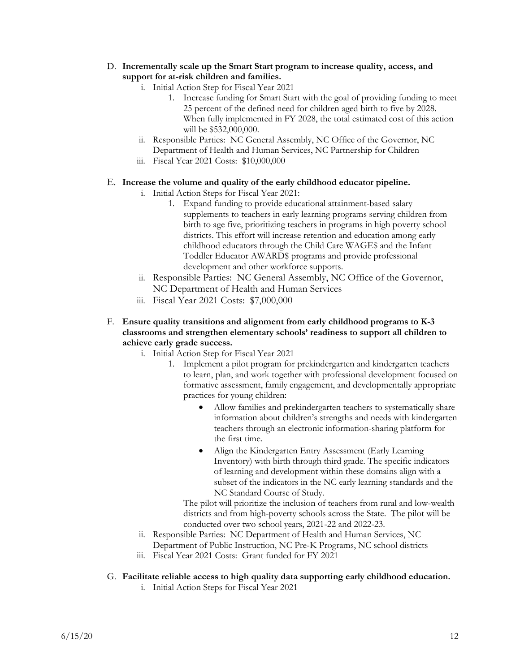- D. **Incrementally scale up the Smart Start program to increase quality, access, and support for at-risk children and families.**
	- i. Initial Action Step for Fiscal Year 2021
		- 1. Increase funding for Smart Start with the goal of providing funding to meet 25 percent of the defined need for children aged birth to five by 2028. When fully implemented in FY 2028, the total estimated cost of this action will be \$532,000,000.
	- ii. Responsible Parties: NC General Assembly, NC Office of the Governor, NC Department of Health and Human Services, NC Partnership for Children
	- iii. Fiscal Year 2021 Costs: \$10,000,000

### E. **Increase the volume and quality of the early childhood educator pipeline.**

- i. Initial Action Steps for Fiscal Year 2021:
	- 1. Expand funding to provide educational attainment-based salary supplements to teachers in early learning programs serving children from birth to age five, prioritizing teachers in programs in high poverty school districts. This effort will increase retention and education among early childhood educators through the Child Care WAGE\$ and the Infant Toddler Educator AWARD\$ programs and provide professional development and other workforce supports.
- ii. Responsible Parties: NC General Assembly, NC Office of the Governor, NC Department of Health and Human Services
- iii. Fiscal Year 2021 Costs: \$7,000,000
- F. **Ensure quality transitions and alignment from early childhood programs to K-3 classrooms and strengthen elementary schools' readiness to support all children to achieve early grade success.**
	- i. Initial Action Step for Fiscal Year 2021
		- 1. Implement a pilot program for prekindergarten and kindergarten teachers to learn, plan, and work together with professional development focused on formative assessment, family engagement, and developmentally appropriate practices for young children:
			- Allow families and prekindergarten teachers to systematically share information about children's strengths and needs with kindergarten teachers through an electronic information-sharing platform for the first time.
			- Align the Kindergarten Entry Assessment (Early Learning Inventory) with birth through third grade. The specific indicators of learning and development within these domains align with a subset of the indicators in the NC early learning standards and the NC Standard Course of Study.

The pilot will prioritize the inclusion of teachers from rural and low-wealth districts and from high-poverty schools across the State. The pilot will be conducted over two school years, 2021-22 and 2022-23.

- ii. Responsible Parties: NC Department of Health and Human Services, NC Department of Public Instruction, NC Pre-K Programs, NC school districts
- iii. Fiscal Year 2021 Costs: Grant funded for FY 2021
- G. **Facilitate reliable access to high quality data supporting early childhood education.**
	- i. Initial Action Steps for Fiscal Year 2021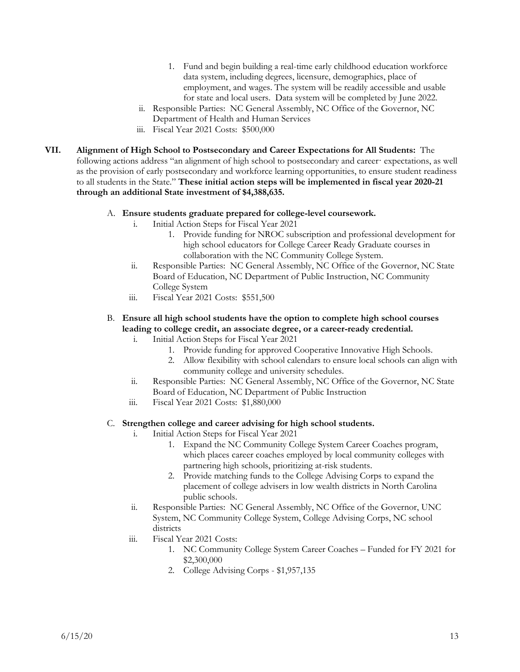- 1. Fund and begin building a real-time early childhood education workforce data system, including degrees, licensure, demographics, place of employment, and wages. The system will be readily accessible and usable for state and local users. Data system will be completed by June 2022.
- ii. Responsible Parties: NC General Assembly, NC Office of the Governor, NC Department of Health and Human Services
- iii. Fiscal Year 2021 Costs: \$500,000
- **VII. Alignment of High School to Postsecondary and Career Expectations for All Students:** The following actions address "an alignment of high school to postsecondary and career· expectations, as well as the provision of early postsecondary and workforce learning opportunities, to ensure student readiness to all students in the State." **These initial action steps will be implemented in fiscal year 2020-21 through an additional State investment of \$4,388,635.**

#### A. **Ensure students graduate prepared for college-level coursework.**

- i. Initial Action Steps for Fiscal Year 2021
	- 1. Provide funding for NROC subscription and professional development for high school educators for College Career Ready Graduate courses in collaboration with the NC Community College System.
- ii. Responsible Parties: NC General Assembly, NC Office of the Governor, NC State Board of Education, NC Department of Public Instruction, NC Community College System
- iii. Fiscal Year 2021 Costs: \$551,500

### B. **Ensure all high school students have the option to complete high school courses leading to college credit, an associate degree, or a career-ready credential.**

- i. Initial Action Steps for Fiscal Year 2021
	- 1. Provide funding for approved Cooperative Innovative High Schools.
	- 2. Allow flexibility with school calendars to ensure local schools can align with community college and university schedules.
- ii. Responsible Parties: NC General Assembly, NC Office of the Governor, NC State Board of Education, NC Department of Public Instruction
- iii. Fiscal Year 2021 Costs: \$1,880,000

#### C. **Strengthen college and career advising for high school students.**

- i. Initial Action Steps for Fiscal Year 2021
	- 1. Expand the NC Community College System Career Coaches program, which places career coaches employed by local community colleges with partnering high schools, prioritizing at-risk students.
	- 2. Provide matching funds to the College Advising Corps to expand the placement of college advisers in low wealth districts in North Carolina public schools.
- ii. Responsible Parties: NC General Assembly, NC Office of the Governor, UNC System, NC Community College System, College Advising Corps, NC school districts
- iii. Fiscal Year 2021 Costs:
	- 1. NC Community College System Career Coaches Funded for FY 2021 for \$2,300,000
	- 2. College Advising Corps \$1,957,135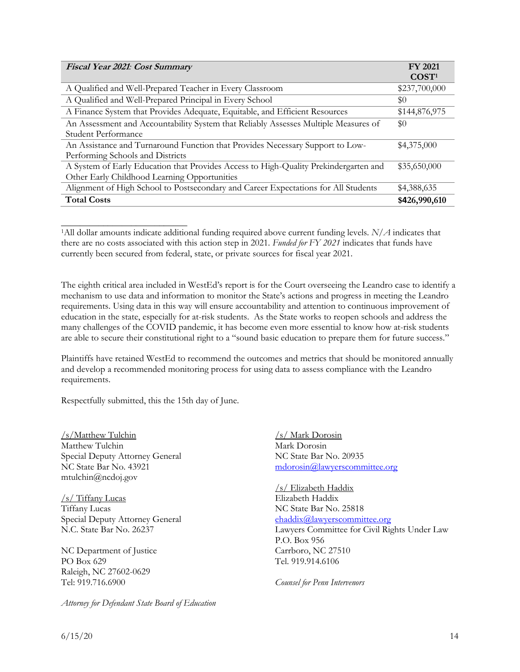| Fiscal Year 2021: Cost Summary                                                       | <b>FY 2021</b>    |
|--------------------------------------------------------------------------------------|-------------------|
|                                                                                      | COST <sup>1</sup> |
| A Qualified and Well-Prepared Teacher in Every Classroom                             | \$237,700,000     |
| A Qualified and Well-Prepared Principal in Every School                              | \$0               |
| A Finance System that Provides Adequate, Equitable, and Efficient Resources          | \$144,876,975     |
| An Assessment and Accountability System that Reliably Assesses Multiple Measures of  | \$0               |
| Student Performance                                                                  |                   |
| An Assistance and Turnaround Function that Provides Necessary Support to Low-        | \$4,375,000       |
| Performing Schools and Districts                                                     |                   |
| A System of Early Education that Provides Access to High-Quality Prekindergarten and | \$35,650,000      |
| Other Early Childhood Learning Opportunities                                         |                   |
| Alignment of High School to Postsecondary and Career Expectations for All Students   | \$4,388,635       |
| <b>Total Costs</b>                                                                   | \$426,990,610     |

<sup>1</sup>All dollar amounts indicate additional funding required above current funding levels. *N/A* indicates that there are no costs associated with this action step in 2021. *Funded for FY 2021* indicates that funds have currently been secured from federal, state, or private sources for fiscal year 2021.

The eighth critical area included in WestEd's report is for the Court overseeing the Leandro case to identify a mechanism to use data and information to monitor the State's actions and progress in meeting the Leandro requirements. Using data in this way will ensure accountability and attention to continuous improvement of education in the state, especially for at-risk students. As the State works to reopen schools and address the many challenges of the COVID pandemic, it has become even more essential to know how at-risk students are able to secure their constitutional right to a "sound basic education to prepare them for future success."

Plaintiffs have retained WestEd to recommend the outcomes and metrics that should be monitored annually and develop a recommended monitoring process for using data to assess compliance with the Leandro requirements.

Respectfully submitted, this the 15th day of June.

/s/Matthew Tulchin Matthew Tulchin Special Deputy Attorney General NC State Bar No. 43921 mtulchin@ncdoj.gov

\_\_\_\_\_\_\_\_\_\_\_\_\_\_\_\_\_\_\_\_\_\_\_\_\_\_\_

/s/ Tiffany Lucas Tiffany Lucas Special Deputy Attorney General N.C. State Bar No. 26237

NC Department of Justice PO Box 629 Raleigh, NC 27602-0629 Tel: 919.716.6900

*Attorney for Defendant State Board of Education*

/s/ Mark Dorosin Mark Dorosin NC State Bar No. 20935 [mdorosin@lawyerscommittee.org](mailto:mdorosin@lawyerscommittee.org)

/s/ Elizabeth Haddix Elizabeth Haddix NC State Bar No. 25818 [ehaddix@lawyerscommittee.org](mailto:ehaddix@lawyerscommittee.org) Lawyers Committee for Civil Rights Under Law P.O. Box 956 Carrboro, NC 27510 Tel. 919.914.6106

*Counsel for Penn Intervenors*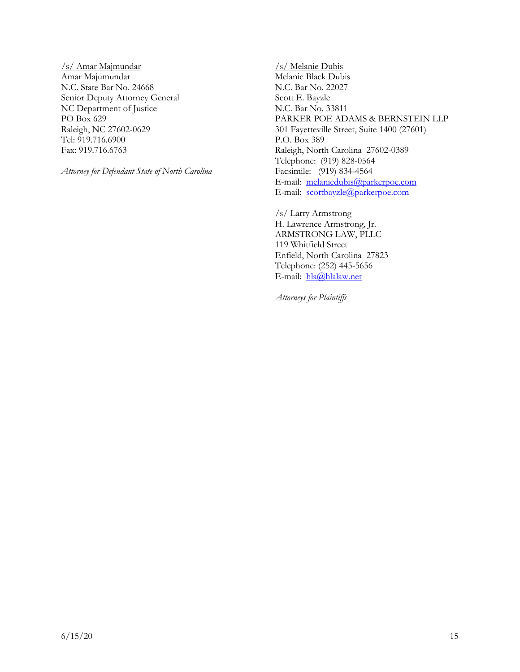/s/ Amar Majmundar Amar Majumundar N.C. State Bar No. 24668 Senior Deputy Attorney General NC Department of Justice PO Box 629 Raleigh, NC 27602-0629 Tel: 919.716.6900 Fax: 919.716.6763

*Attorney for Defendant State of North Carolina*

/s/ Melanie Dubis Melanie Black Dubis N.C. Bar No. 22027 Scott E. Bayzle N.C. Bar No. 33811 PARKER POE ADAMS & BERNSTEIN LLP 301 Fayetteville Street, Suite 1400 (27601) P.O. Box 389 Raleigh, North Carolina 27602-0389 Telephone: (919) 828-0564 Facsimile: (919) 834-4564 E-mail: [melaniedubis@parkerpoe.com](mailto:melaniedubis@parkerpoe.com) E-mail: [scottbayzle@parkerpoe.com](mailto:scottbayzle@parkerpoe.com)

/s/ Larry Armstrong H. Lawrence Armstrong, Jr. ARMSTRONG LAW, PLLC 119 Whitfield Street Enfield, North Carolina 27823 Telephone: (252) 445-5656 E-mail: [hla@hlalaw.net](mailto:hla@hlalaw.net)

*Attorneys for Plaintiffs*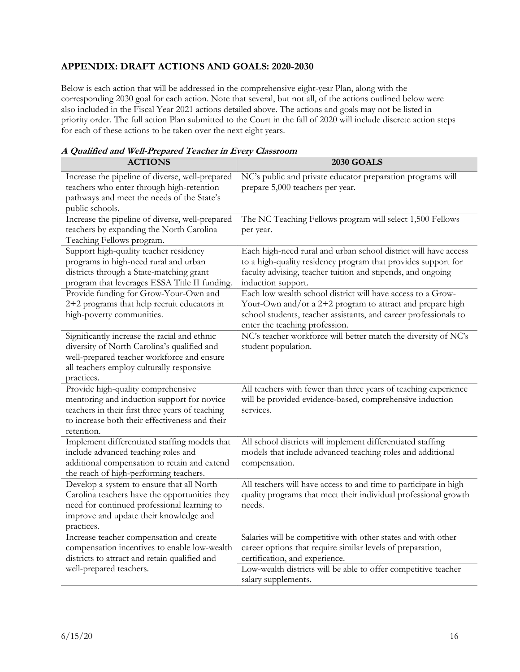# **APPENDIX: DRAFT ACTIONS AND GOALS: 2020-2030**

Below is each action that will be addressed in the comprehensive eight-year Plan, along with the corresponding 2030 goal for each action. Note that several, but not all, of the actions outlined below were also included in the Fiscal Year 2021 actions detailed above. The actions and goals may not be listed in priority order. The full action Plan submitted to the Court in the fall of 2020 will include discrete action steps for each of these actions to be taken over the next eight years.

# **A Qualified and Well-Prepared Teacher in Every Classroom**

| <b>ACTIONS</b>                                                                                                                                                                                       | <b>2030 GOALS</b>                                                                                                                                                                                                              |
|------------------------------------------------------------------------------------------------------------------------------------------------------------------------------------------------------|--------------------------------------------------------------------------------------------------------------------------------------------------------------------------------------------------------------------------------|
| Increase the pipeline of diverse, well-prepared<br>teachers who enter through high-retention<br>pathways and meet the needs of the State's<br>public schools.                                        | NC's public and private educator preparation programs will<br>prepare 5,000 teachers per year.                                                                                                                                 |
| Increase the pipeline of diverse, well-prepared<br>teachers by expanding the North Carolina<br>Teaching Fellows program.                                                                             | The NC Teaching Fellows program will select 1,500 Fellows<br>per year.                                                                                                                                                         |
| Support high-quality teacher residency<br>programs in high-need rural and urban<br>districts through a State-matching grant<br>program that leverages ESSA Title II funding.                         | Each high-need rural and urban school district will have access<br>to a high-quality residency program that provides support for<br>faculty advising, teacher tuition and stipends, and ongoing<br>induction support.          |
| Provide funding for Grow-Your-Own and<br>2+2 programs that help recruit educators in<br>high-poverty communities.                                                                                    | Each low wealth school district will have access to a Grow-<br>Your-Own and/or a 2+2 program to attract and prepare high<br>school students, teacher assistants, and career professionals to<br>enter the teaching profession. |
| Significantly increase the racial and ethnic<br>diversity of North Carolina's qualified and<br>well-prepared teacher workforce and ensure<br>all teachers employ culturally responsive<br>practices. | NC's teacher workforce will better match the diversity of NC's<br>student population.                                                                                                                                          |
| Provide high-quality comprehensive<br>mentoring and induction support for novice<br>teachers in their first three years of teaching<br>to increase both their effectiveness and their<br>retention.  | All teachers with fewer than three years of teaching experience<br>will be provided evidence-based, comprehensive induction<br>services.                                                                                       |
| Implement differentiated staffing models that<br>include advanced teaching roles and<br>additional compensation to retain and extend<br>the reach of high-performing teachers.                       | All school districts will implement differentiated staffing<br>models that include advanced teaching roles and additional<br>compensation.                                                                                     |
| Develop a system to ensure that all North<br>Carolina teachers have the opportunities they<br>need for continued professional learning to<br>improve and update their knowledge and<br>practices.    | All teachers will have access to and time to participate in high<br>quality programs that meet their individual professional growth<br>needs.                                                                                  |
| Increase teacher compensation and create<br>compensation incentives to enable low-wealth<br>districts to attract and retain qualified and                                                            | Salaries will be competitive with other states and with other<br>career options that require similar levels of preparation,<br>certification, and experience.                                                                  |
| well-prepared teachers.                                                                                                                                                                              | Low-wealth districts will be able to offer competitive teacher<br>salary supplements.                                                                                                                                          |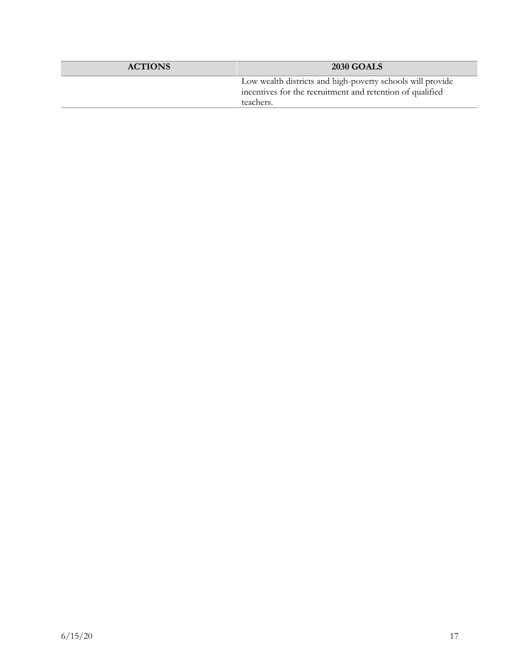| <b>ACTIONS</b> | <b>2030 GOALS</b>                                                                                                                    |
|----------------|--------------------------------------------------------------------------------------------------------------------------------------|
|                | Low wealth districts and high-poverty schools will provide<br>incentives for the recruitment and retention of qualified<br>teachers. |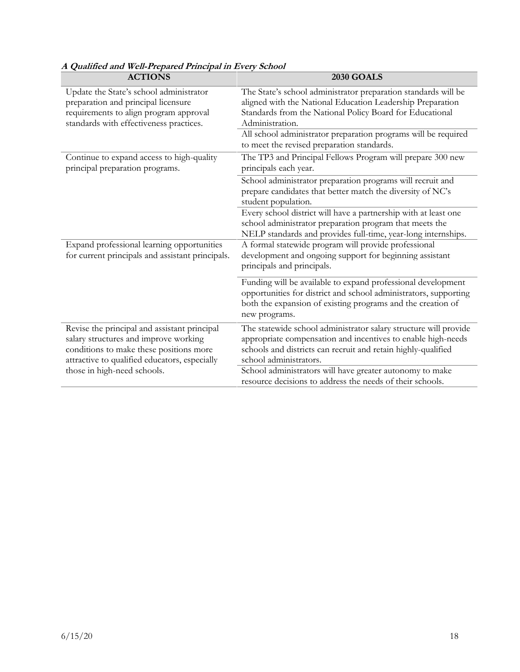| <b>ACTIONS</b>                                                                                                                                                                    | <b>2030 GOALS</b>                                                                                                                                                                                                                                                             |
|-----------------------------------------------------------------------------------------------------------------------------------------------------------------------------------|-------------------------------------------------------------------------------------------------------------------------------------------------------------------------------------------------------------------------------------------------------------------------------|
| Update the State's school administrator<br>preparation and principal licensure<br>requirements to align program approval<br>standards with effectiveness practices.               | The State's school administrator preparation standards will be<br>aligned with the National Education Leadership Preparation<br>Standards from the National Policy Board for Educational<br>Administration.<br>All school administrator preparation programs will be required |
| Continue to expand access to high-quality<br>principal preparation programs.                                                                                                      | to meet the revised preparation standards.<br>The TP3 and Principal Fellows Program will prepare 300 new<br>principals each year.                                                                                                                                             |
|                                                                                                                                                                                   | School administrator preparation programs will recruit and<br>prepare candidates that better match the diversity of NC's<br>student population.                                                                                                                               |
|                                                                                                                                                                                   | Every school district will have a partnership with at least one<br>school administrator preparation program that meets the<br>NELP standards and provides full-time, year-long internships.                                                                                   |
| Expand professional learning opportunities<br>for current principals and assistant principals.                                                                                    | A formal statewide program will provide professional<br>development and ongoing support for beginning assistant<br>principals and principals.                                                                                                                                 |
|                                                                                                                                                                                   | Funding will be available to expand professional development<br>opportunities for district and school administrators, supporting<br>both the expansion of existing programs and the creation of<br>new programs.                                                              |
| Revise the principal and assistant principal<br>salary structures and improve working<br>conditions to make these positions more<br>attractive to qualified educators, especially | The statewide school administrator salary structure will provide<br>appropriate compensation and incentives to enable high-needs<br>schools and districts can recruit and retain highly-qualified<br>school administrators.                                                   |
| those in high-need schools.                                                                                                                                                       | School administrators will have greater autonomy to make<br>resource decisions to address the needs of their schools.                                                                                                                                                         |

# **A Qualified and Well-Prepared Principal in Every School**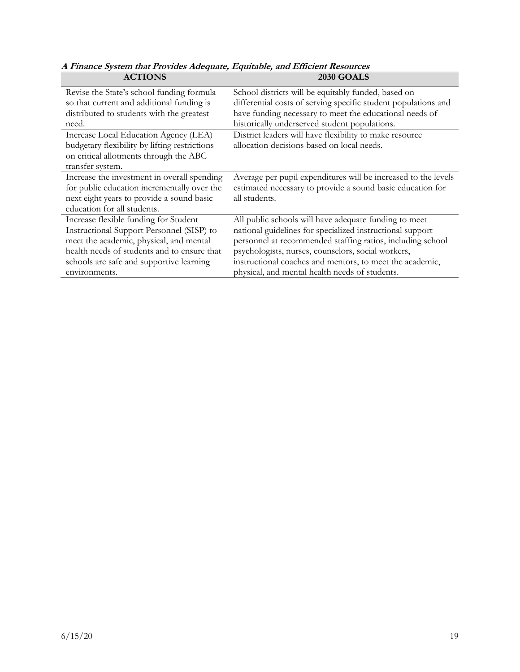| AU LIVINJ                                     | ZUJU VIVALD                                                    |
|-----------------------------------------------|----------------------------------------------------------------|
| Revise the State's school funding formula     | School districts will be equitably funded, based on            |
| so that current and additional funding is     | differential costs of serving specific student populations and |
| distributed to students with the greatest     | have funding necessary to meet the educational needs of        |
| need.                                         | historically underserved student populations.                  |
| Increase Local Education Agency (LEA)         | District leaders will have flexibility to make resource        |
| budgetary flexibility by lifting restrictions | allocation decisions based on local needs.                     |
| on critical allotments through the ABC        |                                                                |
| transfer system.                              |                                                                |
| Increase the investment in overall spending   | Average per pupil expenditures will be increased to the levels |
| for public education incrementally over the   | estimated necessary to provide a sound basic education for     |
| next eight years to provide a sound basic     | all students.                                                  |
| education for all students.                   |                                                                |
| Increase flexible funding for Student         | All public schools will have adequate funding to meet          |
| Instructional Support Personnel (SISP) to     | national guidelines for specialized instructional support      |
| meet the academic, physical, and mental       | personnel at recommended staffing ratios, including school     |
| health needs of students and to ensure that   | psychologists, nurses, counselors, social workers,             |
| schools are safe and supportive learning      | instructional coaches and mentors, to meet the academic,       |
| environments.                                 | physical, and mental health needs of students.                 |

**A Finance System that Provides Adequate, Equitable, and Efficient Resources ACTIONS 2030 GOALS**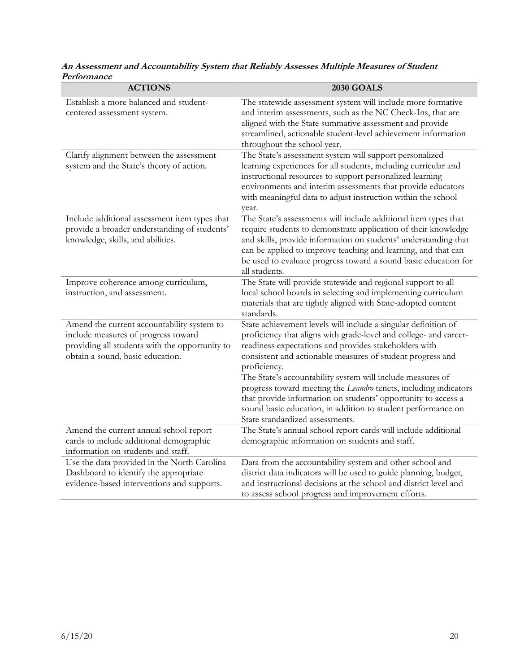| <b>ACTIONS</b>                                                                                                                                                          | <b>2030 GOALS</b>                                                                                                                                                                                                                                                                                                                                         |
|-------------------------------------------------------------------------------------------------------------------------------------------------------------------------|-----------------------------------------------------------------------------------------------------------------------------------------------------------------------------------------------------------------------------------------------------------------------------------------------------------------------------------------------------------|
| Establish a more balanced and student-<br>centered assessment system.                                                                                                   | The statewide assessment system will include more formative<br>and interim assessments, such as the NC Check-Ins, that are<br>aligned with the State summative assessment and provide<br>streamlined, actionable student-level achievement information<br>throughout the school year.                                                                     |
| Clarify alignment between the assessment<br>system and the State's theory of action.                                                                                    | The State's assessment system will support personalized<br>learning experiences for all students, including curricular and<br>instructional resources to support personalized learning<br>environments and interim assessments that provide educators<br>with meaningful data to adjust instruction within the school<br>year.                            |
| Include additional assessment item types that<br>provide a broader understanding of students'<br>knowledge, skills, and abilities.                                      | The State's assessments will include additional item types that<br>require students to demonstrate application of their knowledge<br>and skills, provide information on students' understanding that<br>can be applied to improve teaching and learning, and that can<br>be used to evaluate progress toward a sound basic education for<br>all students. |
| Improve coherence among curriculum,<br>instruction, and assessment.                                                                                                     | The State will provide statewide and regional support to all<br>local school boards in selecting and implementing curriculum<br>materials that are tightly aligned with State-adopted content<br>standards.                                                                                                                                               |
| Amend the current accountability system to<br>include measures of progress toward<br>providing all students with the opportunity to<br>obtain a sound, basic education. | State achievement levels will include a singular definition of<br>proficiency that aligns with grade-level and college- and career-<br>readiness expectations and provides stakeholders with<br>consistent and actionable measures of student progress and<br>proficiency.                                                                                |
|                                                                                                                                                                         | The State's accountability system will include measures of<br>progress toward meeting the Leandro tenets, including indicators<br>that provide information on students' opportunity to access a<br>sound basic education, in addition to student performance on<br>State standardized assessments.                                                        |
| Amend the current annual school report<br>cards to include additional demographic<br>information on students and staff.                                                 | The State's annual school report cards will include additional<br>demographic information on students and staff.                                                                                                                                                                                                                                          |
| Use the data provided in the North Carolina<br>Dashboard to identify the appropriate<br>evidence-based interventions and supports.                                      | Data from the accountability system and other school and<br>district data indicators will be used to guide planning, budget,<br>and instructional decisions at the school and district level and<br>to assess school progress and improvement efforts.                                                                                                    |

## **An Assessment and Accountability System that Reliably Assesses Multiple Measures of Student Performance**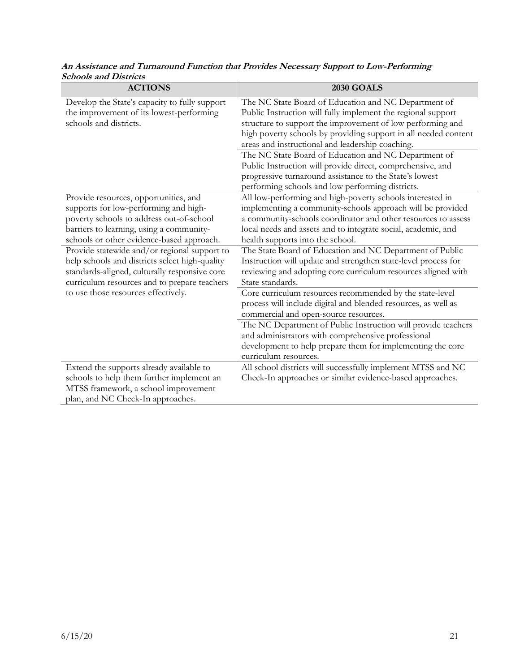| <b>ACTIONS</b>                                                                                                                                                                                                                                                                                                                                                                                                                                                | <b>2030 GOALS</b>                                                                                                                                                                                                                                                                                                                                                                                                                                                                                                                                                                                                                              |
|---------------------------------------------------------------------------------------------------------------------------------------------------------------------------------------------------------------------------------------------------------------------------------------------------------------------------------------------------------------------------------------------------------------------------------------------------------------|------------------------------------------------------------------------------------------------------------------------------------------------------------------------------------------------------------------------------------------------------------------------------------------------------------------------------------------------------------------------------------------------------------------------------------------------------------------------------------------------------------------------------------------------------------------------------------------------------------------------------------------------|
| Develop the State's capacity to fully support<br>the improvement of its lowest-performing<br>schools and districts.                                                                                                                                                                                                                                                                                                                                           | The NC State Board of Education and NC Department of<br>Public Instruction will fully implement the regional support<br>structure to support the improvement of low performing and<br>high poverty schools by providing support in all needed content<br>areas and instructional and leadership coaching.<br>The NC State Board of Education and NC Department of<br>Public Instruction will provide direct, comprehensive, and<br>progressive turnaround assistance to the State's lowest                                                                                                                                                     |
|                                                                                                                                                                                                                                                                                                                                                                                                                                                               | performing schools and low performing districts.                                                                                                                                                                                                                                                                                                                                                                                                                                                                                                                                                                                               |
| Provide resources, opportunities, and<br>supports for low-performing and high-<br>poverty schools to address out-of-school<br>barriers to learning, using a community-<br>schools or other evidence-based approach.<br>Provide statewide and/or regional support to<br>help schools and districts select high-quality<br>standards-aligned, culturally responsive core<br>curriculum resources and to prepare teachers<br>to use those resources effectively. | All low-performing and high-poverty schools interested in<br>implementing a community-schools approach will be provided<br>a community-schools coordinator and other resources to assess<br>local needs and assets and to integrate social, academic, and<br>health supports into the school.<br>The State Board of Education and NC Department of Public<br>Instruction will update and strengthen state-level process for<br>reviewing and adopting core curriculum resources aligned with<br>State standards.<br>Core curriculum resources recommended by the state-level<br>process will include digital and blended resources, as well as |
|                                                                                                                                                                                                                                                                                                                                                                                                                                                               | commercial and open-source resources.<br>The NC Department of Public Instruction will provide teachers<br>and administrators with comprehensive professional<br>development to help prepare them for implementing the core<br>curriculum resources.                                                                                                                                                                                                                                                                                                                                                                                            |
| Extend the supports already available to<br>schools to help them further implement an<br>MTSS framework, a school improvement<br>plan, and NC Check-In approaches.                                                                                                                                                                                                                                                                                            | All school districts will successfully implement MTSS and NC<br>Check-In approaches or similar evidence-based approaches.                                                                                                                                                                                                                                                                                                                                                                                                                                                                                                                      |

**An Assistance and Turnaround Function that Provides Necessary Support to Low-Performing Schools and Districts**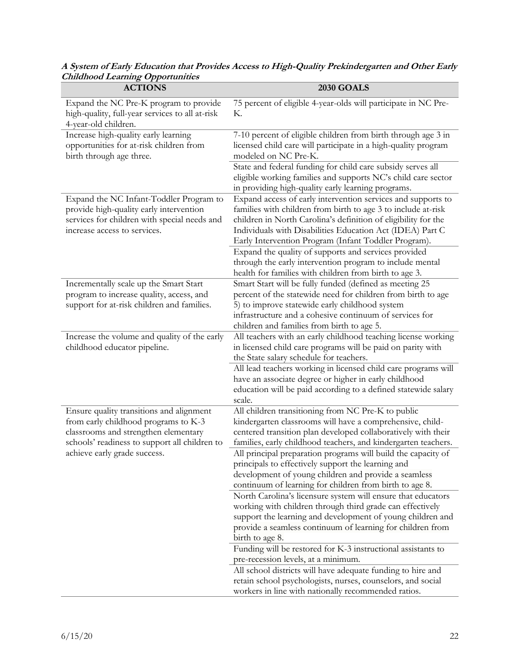| Simanooa Learning Opportunities<br><b>ACTIONS</b>                                                                                                                         | <b>2030 GOALS</b>                                                                                                                                                                                                                                                                                                    |
|---------------------------------------------------------------------------------------------------------------------------------------------------------------------------|----------------------------------------------------------------------------------------------------------------------------------------------------------------------------------------------------------------------------------------------------------------------------------------------------------------------|
| Expand the NC Pre-K program to provide<br>high-quality, full-year services to all at-risk<br>4-year-old children.                                                         | 75 percent of eligible 4-year-olds will participate in NC Pre-<br>К.                                                                                                                                                                                                                                                 |
| Increase high-quality early learning<br>opportunities for at-risk children from<br>birth through age three.                                                               | 7-10 percent of eligible children from birth through age 3 in<br>licensed child care will participate in a high-quality program<br>modeled on NC Pre-K.                                                                                                                                                              |
|                                                                                                                                                                           | State and federal funding for child care subsidy serves all<br>eligible working families and supports NC's child care sector<br>in providing high-quality early learning programs.                                                                                                                                   |
| Expand the NC Infant-Toddler Program to<br>provide high-quality early intervention<br>services for children with special needs and<br>increase access to services.        | Expand access of early intervention services and supports to<br>families with children from birth to age 3 to include at-risk<br>children in North Carolina's definition of eligibility for the<br>Individuals with Disabilities Education Act (IDEA) Part C<br>Early Intervention Program (Infant Toddler Program). |
|                                                                                                                                                                           | Expand the quality of supports and services provided<br>through the early intervention program to include mental<br>health for families with children from birth to age 3.                                                                                                                                           |
| Incrementally scale up the Smart Start<br>program to increase quality, access, and<br>support for at-risk children and families.                                          | Smart Start will be fully funded (defined as meeting 25<br>percent of the statewide need for children from birth to age<br>5) to improve statewide early childhood system<br>infrastructure and a cohesive continuum of services for<br>children and families from birth to age 5.                                   |
| Increase the volume and quality of the early<br>childhood educator pipeline.                                                                                              | All teachers with an early childhood teaching license working<br>in licensed child care programs will be paid on parity with<br>the State salary schedule for teachers.                                                                                                                                              |
|                                                                                                                                                                           | All lead teachers working in licensed child care programs will<br>have an associate degree or higher in early childhood<br>education will be paid according to a defined statewide salary<br>scale.                                                                                                                  |
| Ensure quality transitions and alignment<br>from early childhood programs to K-3<br>classrooms and strengthen elementary<br>schools' readiness to support all children to | All children transitioning from NC Pre-K to public<br>kindergarten classrooms will have a comprehensive, child-<br>centered transition plan developed collaboratively with their<br>families, early childhood teachers, and kindergarten teachers.                                                                   |
| achieve early grade success.                                                                                                                                              | All principal preparation programs will build the capacity of<br>principals to effectively support the learning and<br>development of young children and provide a seamless<br>continuum of learning for children from birth to age 8.                                                                               |
|                                                                                                                                                                           | North Carolina's licensure system will ensure that educators<br>working with children through third grade can effectively<br>support the learning and development of young children and<br>provide a seamless continuum of learning for children from<br>birth to age 8.                                             |
|                                                                                                                                                                           | Funding will be restored for K-3 instructional assistants to<br>pre-recession levels, at a minimum.                                                                                                                                                                                                                  |
|                                                                                                                                                                           | All school districts will have adequate funding to hire and<br>retain school psychologists, nurses, counselors, and social<br>workers in line with nationally recommended ratios.                                                                                                                                    |

**A System of Early Education that Provides Access to High-Quality Prekindergarten and Other Early Childhood Learning Opportunities**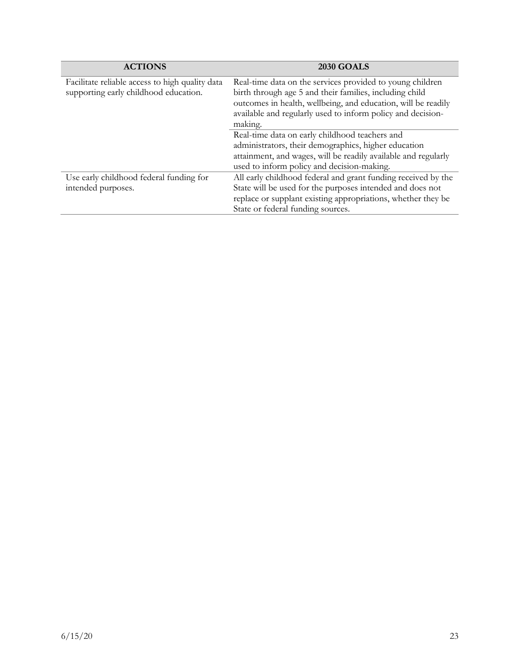| <b>ACTIONS</b>                                  | <b>2030 GOALS</b>                                              |
|-------------------------------------------------|----------------------------------------------------------------|
| Facilitate reliable access to high quality data | Real-time data on the services provided to young children      |
| supporting early childhood education.           | birth through age 5 and their families, including child        |
|                                                 | outcomes in health, wellbeing, and education, will be readily  |
|                                                 | available and regularly used to inform policy and decision-    |
|                                                 | making.                                                        |
|                                                 | Real-time data on early childhood teachers and                 |
|                                                 | administrators, their demographics, higher education           |
|                                                 | attainment, and wages, will be readily available and regularly |
|                                                 | used to inform policy and decision-making.                     |
| Use early childhood federal funding for         | All early childhood federal and grant funding received by the  |
| intended purposes.                              | State will be used for the purposes intended and does not      |
|                                                 | replace or supplant existing appropriations, whether they be   |
|                                                 | State or federal funding sources.                              |